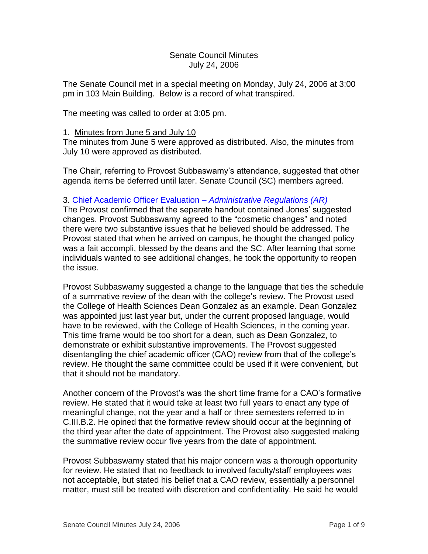### Senate Council Minutes July 24, 2006

The Senate Council met in a special meeting on Monday, July 24, 2006 at 3:00 pm in 103 Main Building. Below is a record of what transpired.

The meeting was called to order at 3:05 pm.

#### 1. Minutes from June 5 and July 10

The minutes from June 5 were approved as distributed. Also, the minutes from July 10 were approved as distributed.

The Chair, referring to Provost Subbaswamy's attendance, suggested that other agenda items be deferred until later. Senate Council (SC) members agreed.

### 3. [Chief Academic Officer Evaluation –](http://www.uky.edu/USC/New/files/20060724/AR%20II-1%200-6%20FINAL%20DRAFT%20-%20Part%203%20only%20(with%20tracking)%207-19-06.pdf) *Administrative Regulations (AR)*

The Provost confirmed that the separate handout contained Jones' suggested changes. Provost Subbaswamy agreed to the "cosmetic changes" and noted there were two substantive issues that he believed should be addressed. The Provost stated that when he arrived on campus, he thought the changed policy was a fait accompli, blessed by the deans and the SC. After learning that some individuals wanted to see additional changes, he took the opportunity to reopen the issue.

Provost Subbaswamy suggested a change to the language that ties the schedule of a summative review of the dean with the college's review. The Provost used the College of Health Sciences Dean Gonzalez as an example. Dean Gonzalez was appointed just last year but, under the current proposed language, would have to be reviewed, with the College of Health Sciences, in the coming year. This time frame would be too short for a dean, such as Dean Gonzalez, to demonstrate or exhibit substantive improvements. The Provost suggested disentangling the chief academic officer (CAO) review from that of the college's review. He thought the same committee could be used if it were convenient, but that it should not be mandatory.

Another concern of the Provost's was the short time frame for a CAO's formative review. He stated that it would take at least two full years to enact any type of meaningful change, not the year and a half or three semesters referred to in C.III.B.2. He opined that the formative review should occur at the beginning of the third year after the date of appointment. The Provost also suggested making the summative review occur five years from the date of appointment.

Provost Subbaswamy stated that his major concern was a thorough opportunity for review. He stated that no feedback to involved faculty/staff employees was not acceptable, but stated his belief that a CAO review, essentially a personnel matter, must still be treated with discretion and confidentiality. He said he would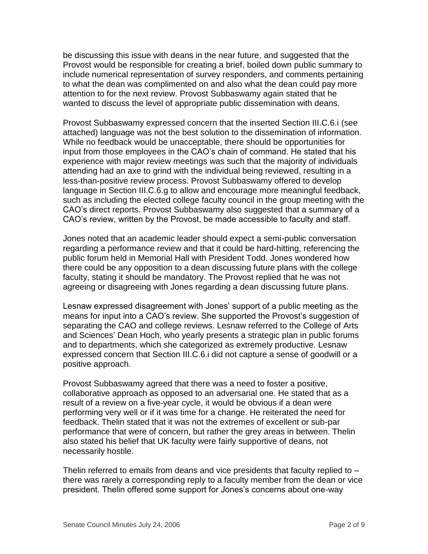be discussing this issue with deans in the near future, and suggested that the Provost would be responsible for creating a brief, boiled down public summary to include numerical representation of survey responders, and comments pertaining to what the dean was complimented on and also what the dean could pay more attention to for the next review. Provost Subbaswamy again stated that he wanted to discuss the level of appropriate public dissemination with deans.

Provost Subbaswamy expressed concern that the inserted Section III.C.6.i (see attached) language was not the best solution to the dissemination of information. While no feedback would be unacceptable, there should be opportunities for input from those employees in the CAO's chain of command. He stated that his experience with major review meetings was such that the majority of individuals attending had an axe to grind with the individual being reviewed, resulting in a less-than-positive review process. Provost Subbaswamy offered to develop language in Section III.C.6.g to allow and encourage more meaningful feedback, such as including the elected college faculty council in the group meeting with the CAO's direct reports. Provost Subbaswamy also suggested that a summary of a CAO's review, written by the Provost, be made accessible to faculty and staff.

Jones noted that an academic leader should expect a semi-public conversation regarding a performance review and that it could be hard-hitting, referencing the public forum held in Memorial Hall with President Todd. Jones wondered how there could be any opposition to a dean discussing future plans with the college faculty, stating it should be mandatory. The Provost replied that he was not agreeing or disagreeing with Jones regarding a dean discussing future plans.

Lesnaw expressed disagreement with Jones' support of a public meeting as the means for input into a CAO's review. She supported the Provost's suggestion of separating the CAO and college reviews. Lesnaw referred to the College of Arts and Sciences' Dean Hoch, who yearly presents a strategic plan in public forums and to departments, which she categorized as extremely productive. Lesnaw expressed concern that Section III.C.6.i did not capture a sense of goodwill or a positive approach.

Provost Subbaswamy agreed that there was a need to foster a positive, collaborative approach as opposed to an adversarial one. He stated that as a result of a review on a five-year cycle, it would be obvious if a dean were performing very well or if it was time for a change. He reiterated the need for feedback. Thelin stated that it was not the extremes of excellent or sub-par performance that were of concern, but rather the grey areas in between. Thelin also stated his belief that UK faculty were fairly supportive of deans, not necessarily hostile.

Thelin referred to emails from deans and vice presidents that faculty replied to – there was rarely a corresponding reply to a faculty member from the dean or vice president. Thelin offered some support for Jones's concerns about one-way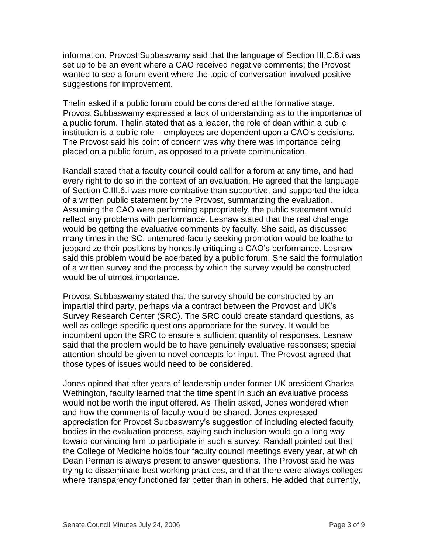information. Provost Subbaswamy said that the language of Section III.C.6.i was set up to be an event where a CAO received negative comments; the Provost wanted to see a forum event where the topic of conversation involved positive suggestions for improvement.

Thelin asked if a public forum could be considered at the formative stage. Provost Subbaswamy expressed a lack of understanding as to the importance of a public forum. Thelin stated that as a leader, the role of dean within a public institution is a public role – employees are dependent upon a CAO's decisions. The Provost said his point of concern was why there was importance being placed on a public forum, as opposed to a private communication.

Randall stated that a faculty council could call for a forum at any time, and had every right to do so in the context of an evaluation. He agreed that the language of Section C.III.6.i was more combative than supportive, and supported the idea of a written public statement by the Provost, summarizing the evaluation. Assuming the CAO were performing appropriately, the public statement would reflect any problems with performance. Lesnaw stated that the real challenge would be getting the evaluative comments by faculty. She said, as discussed many times in the SC, untenured faculty seeking promotion would be loathe to jeopardize their positions by honestly critiquing a CAO's performance. Lesnaw said this problem would be acerbated by a public forum. She said the formulation of a written survey and the process by which the survey would be constructed would be of utmost importance.

Provost Subbaswamy stated that the survey should be constructed by an impartial third party, perhaps via a contract between the Provost and UK's Survey Research Center (SRC). The SRC could create standard questions, as well as college-specific questions appropriate for the survey. It would be incumbent upon the SRC to ensure a sufficient quantity of responses. Lesnaw said that the problem would be to have genuinely evaluative responses; special attention should be given to novel concepts for input. The Provost agreed that those types of issues would need to be considered.

Jones opined that after years of leadership under former UK president Charles Wethington, faculty learned that the time spent in such an evaluative process would not be worth the input offered. As Thelin asked, Jones wondered when and how the comments of faculty would be shared. Jones expressed appreciation for Provost Subbaswamy's suggestion of including elected faculty bodies in the evaluation process, saying such inclusion would go a long way toward convincing him to participate in such a survey. Randall pointed out that the College of Medicine holds four faculty council meetings every year, at which Dean Perman is always present to answer questions. The Provost said he was trying to disseminate best working practices, and that there were always colleges where transparency functioned far better than in others. He added that currently,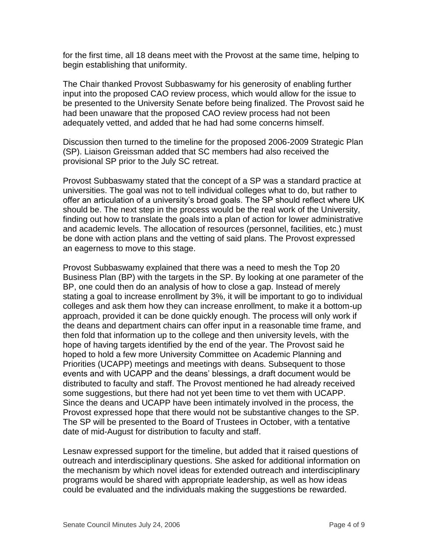for the first time, all 18 deans meet with the Provost at the same time, helping to begin establishing that uniformity.

The Chair thanked Provost Subbaswamy for his generosity of enabling further input into the proposed CAO review process, which would allow for the issue to be presented to the University Senate before being finalized. The Provost said he had been unaware that the proposed CAO review process had not been adequately vetted, and added that he had had some concerns himself.

Discussion then turned to the timeline for the proposed 2006-2009 Strategic Plan (SP). Liaison Greissman added that SC members had also received the provisional SP prior to the July SC retreat.

Provost Subbaswamy stated that the concept of a SP was a standard practice at universities. The goal was not to tell individual colleges what to do, but rather to offer an articulation of a university's broad goals. The SP should reflect where UK should be. The next step in the process would be the real work of the University, finding out how to translate the goals into a plan of action for lower administrative and academic levels. The allocation of resources (personnel, facilities, etc.) must be done with action plans and the vetting of said plans. The Provost expressed an eagerness to move to this stage.

Provost Subbaswamy explained that there was a need to mesh the Top 20 Business Plan (BP) with the targets in the SP. By looking at one parameter of the BP, one could then do an analysis of how to close a gap. Instead of merely stating a goal to increase enrollment by 3%, it will be important to go to individual colleges and ask them how they can increase enrollment, to make it a bottom-up approach, provided it can be done quickly enough. The process will only work if the deans and department chairs can offer input in a reasonable time frame, and then fold that information up to the college and then university levels, with the hope of having targets identified by the end of the year. The Provost said he hoped to hold a few more University Committee on Academic Planning and Priorities (UCAPP) meetings and meetings with deans. Subsequent to those events and with UCAPP and the deans' blessings, a draft document would be distributed to faculty and staff. The Provost mentioned he had already received some suggestions, but there had not yet been time to vet them with UCAPP. Since the deans and UCAPP have been intimately involved in the process, the Provost expressed hope that there would not be substantive changes to the SP. The SP will be presented to the Board of Trustees in October, with a tentative date of mid-August for distribution to faculty and staff.

Lesnaw expressed support for the timeline, but added that it raised questions of outreach and interdisciplinary questions. She asked for additional information on the mechanism by which novel ideas for extended outreach and interdisciplinary programs would be shared with appropriate leadership, as well as how ideas could be evaluated and the individuals making the suggestions be rewarded.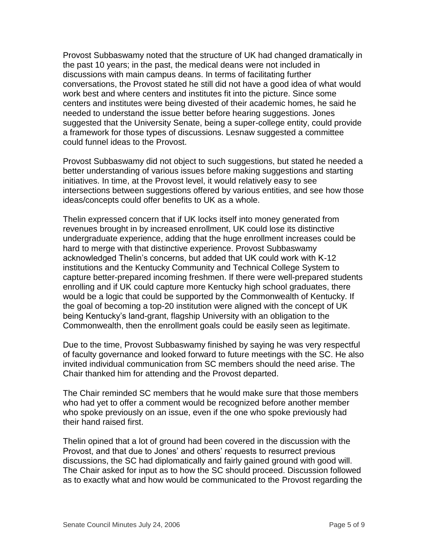Provost Subbaswamy noted that the structure of UK had changed dramatically in the past 10 years; in the past, the medical deans were not included in discussions with main campus deans. In terms of facilitating further conversations, the Provost stated he still did not have a good idea of what would work best and where centers and institutes fit into the picture. Since some centers and institutes were being divested of their academic homes, he said he needed to understand the issue better before hearing suggestions. Jones suggested that the University Senate, being a super-college entity, could provide a framework for those types of discussions. Lesnaw suggested a committee could funnel ideas to the Provost.

Provost Subbaswamy did not object to such suggestions, but stated he needed a better understanding of various issues before making suggestions and starting initiatives. In time, at the Provost level, it would relatively easy to see intersections between suggestions offered by various entities, and see how those ideas/concepts could offer benefits to UK as a whole.

Thelin expressed concern that if UK locks itself into money generated from revenues brought in by increased enrollment, UK could lose its distinctive undergraduate experience, adding that the huge enrollment increases could be hard to merge with that distinctive experience. Provost Subbaswamy acknowledged Thelin's concerns, but added that UK could work with K-12 institutions and the Kentucky Community and Technical College System to capture better-prepared incoming freshmen. If there were well-prepared students enrolling and if UK could capture more Kentucky high school graduates, there would be a logic that could be supported by the Commonwealth of Kentucky. If the goal of becoming a top-20 institution were aligned with the concept of UK being Kentucky's land-grant, flagship University with an obligation to the Commonwealth, then the enrollment goals could be easily seen as legitimate.

Due to the time, Provost Subbaswamy finished by saying he was very respectful of faculty governance and looked forward to future meetings with the SC. He also invited individual communication from SC members should the need arise. The Chair thanked him for attending and the Provost departed.

The Chair reminded SC members that he would make sure that those members who had yet to offer a comment would be recognized before another member who spoke previously on an issue, even if the one who spoke previously had their hand raised first.

Thelin opined that a lot of ground had been covered in the discussion with the Provost, and that due to Jones' and others' requests to resurrect previous discussions, the SC had diplomatically and fairly gained ground with good will. The Chair asked for input as to how the SC should proceed. Discussion followed as to exactly what and how would be communicated to the Provost regarding the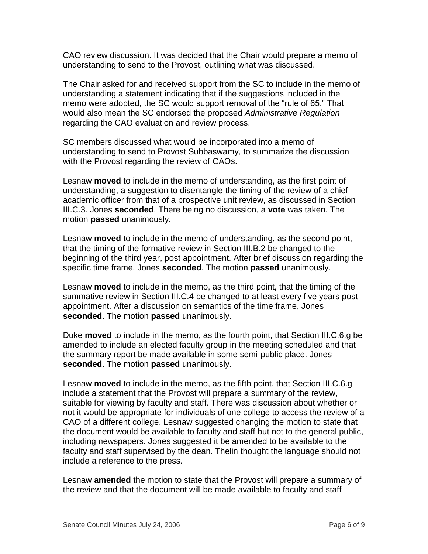CAO review discussion. It was decided that the Chair would prepare a memo of understanding to send to the Provost, outlining what was discussed.

The Chair asked for and received support from the SC to include in the memo of understanding a statement indicating that if the suggestions included in the memo were adopted, the SC would support removal of the "rule of 65." That would also mean the SC endorsed the proposed *Administrative Regulation* regarding the CAO evaluation and review process.

SC members discussed what would be incorporated into a memo of understanding to send to Provost Subbaswamy, to summarize the discussion with the Provost regarding the review of CAOs.

Lesnaw **moved** to include in the memo of understanding, as the first point of understanding, a suggestion to disentangle the timing of the review of a chief academic officer from that of a prospective unit review, as discussed in Section III.C.3. Jones **seconded**. There being no discussion, a **vote** was taken. The motion **passed** unanimously.

Lesnaw **moved** to include in the memo of understanding, as the second point, that the timing of the formative review in Section III.B.2 be changed to the beginning of the third year, post appointment. After brief discussion regarding the specific time frame, Jones **seconded**. The motion **passed** unanimously.

Lesnaw **moved** to include in the memo, as the third point, that the timing of the summative review in Section III.C.4 be changed to at least every five years post appointment. After a discussion on semantics of the time frame, Jones **seconded**. The motion **passed** unanimously.

Duke **moved** to include in the memo, as the fourth point, that Section III.C.6.g be amended to include an elected faculty group in the meeting scheduled and that the summary report be made available in some semi-public place. Jones **seconded**. The motion **passed** unanimously.

Lesnaw **moved** to include in the memo, as the fifth point, that Section III.C.6.g include a statement that the Provost will prepare a summary of the review, suitable for viewing by faculty and staff. There was discussion about whether or not it would be appropriate for individuals of one college to access the review of a CAO of a different college. Lesnaw suggested changing the motion to state that the document would be available to faculty and staff but not to the general public, including newspapers. Jones suggested it be amended to be available to the faculty and staff supervised by the dean. Thelin thought the language should not include a reference to the press.

Lesnaw **amended** the motion to state that the Provost will prepare a summary of the review and that the document will be made available to faculty and staff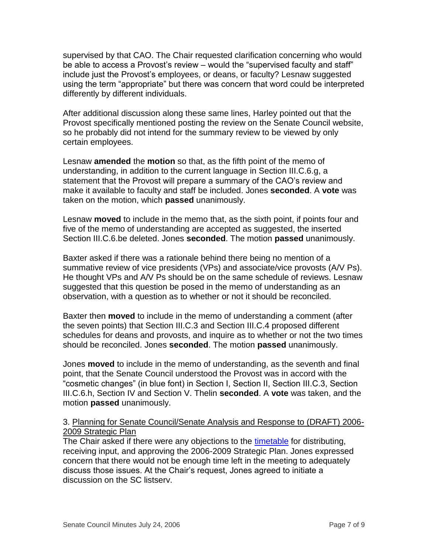supervised by that CAO. The Chair requested clarification concerning who would be able to access a Provost's review – would the "supervised faculty and staff" include just the Provost's employees, or deans, or faculty? Lesnaw suggested using the term "appropriate" but there was concern that word could be interpreted differently by different individuals.

After additional discussion along these same lines, Harley pointed out that the Provost specifically mentioned posting the review on the Senate Council website, so he probably did not intend for the summary review to be viewed by only certain employees.

Lesnaw **amended** the **motion** so that, as the fifth point of the memo of understanding, in addition to the current language in Section III.C.6.g, a statement that the Provost will prepare a summary of the CAO's review and make it available to faculty and staff be included. Jones **seconded**. A **vote** was taken on the motion, which **passed** unanimously.

Lesnaw **moved** to include in the memo that, as the sixth point, if points four and five of the memo of understanding are accepted as suggested, the inserted Section III.C.6.be deleted. Jones **seconded**. The motion **passed** unanimously.

Baxter asked if there was a rationale behind there being no mention of a summative review of vice presidents (VPs) and associate/vice provosts (A/V Ps). He thought VPs and A/V Ps should be on the same schedule of reviews. Lesnaw suggested that this question be posed in the memo of understanding as an observation, with a question as to whether or not it should be reconciled.

Baxter then **moved** to include in the memo of understanding a comment (after the seven points) that Section III.C.3 and Section III.C.4 proposed different schedules for deans and provosts, and inquire as to whether or not the two times should be reconciled. Jones **seconded**. The motion **passed** unanimously.

Jones **moved** to include in the memo of understanding, as the seventh and final point, that the Senate Council understood the Provost was in accord with the "cosmetic changes" (in blue font) in Section I, Section II, Section III.C.3, Section III.C.6.h, Section IV and Section V. Thelin **seconded**. A **vote** was taken, and the motion **passed** unanimously.

# 3. Planning for Senate Council/Senate Analysis and Response to (DRAFT) 2006- 2009 Strategic Plan

The Chair asked if there were any objections to the [timetable](http://www.uky.edu/USC/New/files/20060724/timeline%20-%20Strategic%20Plan%20for%202006.doc) for distributing, receiving input, and approving the 2006-2009 Strategic Plan. Jones expressed concern that there would not be enough time left in the meeting to adequately discuss those issues. At the Chair's request, Jones agreed to initiate a discussion on the SC listserv.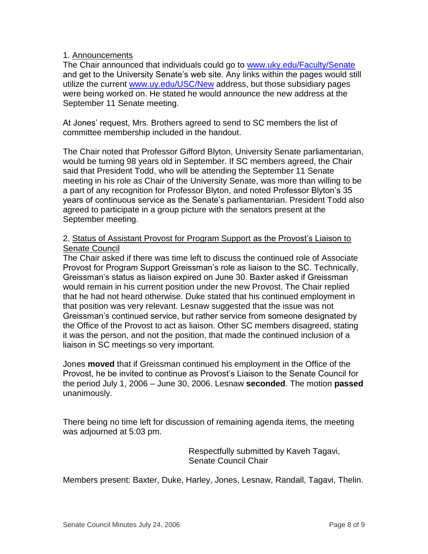## 1. Announcements

The Chair announced that individuals could go to [www.uky.edu/Faculty/Senate](http://www.uky.edu/Faculty/Senate) and get to the University Senate's web site. Any links within the pages would still utilize the current [www.uy.edu/USC/New](http://www.uy.edu/USC/New) address, but those subsidiary pages were being worked on. He stated he would announce the new address at the September 11 Senate meeting.

At Jones' request, Mrs. Brothers agreed to send to SC members the list of committee membership included in the handout.

The Chair noted that Professor Gifford Blyton, University Senate parliamentarian, would be turning 98 years old in September. If SC members agreed, the Chair said that President Todd, who will be attending the September 11 Senate meeting in his role as Chair of the University Senate, was more than willing to be a part of any recognition for Professor Blyton, and noted Professor Blyton's 35 years of continuous service as the Senate's parliamentarian. President Todd also agreed to participate in a group picture with the senators present at the September meeting.

## 2. Status of Assistant Provost for Program Support as the Provost's Liaison to Senate Council

The Chair asked if there was time left to discuss the continued role of Associate Provost for Program Support Greissman's role as liaison to the SC. Technically, Greissman's status as liaison expired on June 30. Baxter asked if Greissman would remain in his current position under the new Provost. The Chair replied that he had not heard otherwise. Duke stated that his continued employment in that position was very relevant. Lesnaw suggested that the issue was not Greissman's continued service, but rather service from someone designated by the Office of the Provost to act as liaison. Other SC members disagreed, stating it was the person, and not the position, that made the continued inclusion of a liaison in SC meetings so very important.

Jones **moved** that if Greissman continued his employment in the Office of the Provost, he be invited to continue as Provost's Liaison to the Senate Council for the period July 1, 2006 – June 30, 2006. Lesnaw **seconded**. The motion **passed** unanimously.

There being no time left for discussion of remaining agenda items, the meeting was adjourned at 5:03 pm.

> Respectfully submitted by Kaveh Tagavi, Senate Council Chair

Members present: Baxter, Duke, Harley, Jones, Lesnaw, Randall, Tagavi, Thelin.